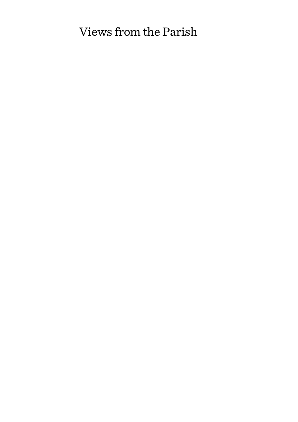# Views from the Parish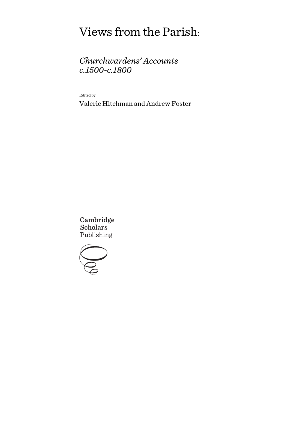# Views from the Parish:

## *Churchwardens' Accounts c.1500-c.1800*

Edited by

Valerie Hitchman and Andrew Foster

Cambridge **Scholars** Publishing

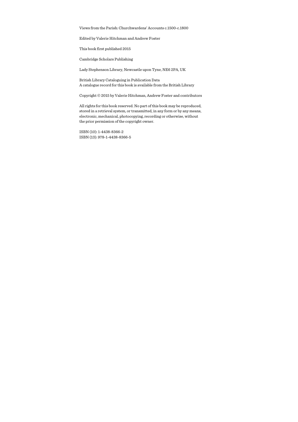Views from the Parish: Churchwardens' Accounts c.1500-c.1800

Edited by Valerie Hitchman and Andrew Foster

This book first published 2015

Cambridge Scholars Publishing

Lady Stephenson Library, Newcastle upon Tyne, NE6 2PA, UK

British Library Cataloguing in Publication Data A catalogue record for this book is available from the British Library

Copyright © 2015 by Valerie Hitchman, Andrew Foster and contributors

All rights for this book reserved. No part of this book may be reproduced, stored in a retrieval system, or transmitted, in any form or by any means, electronic, mechanical, photocopying, recording or otherwise, without the prior permission of the copyright owner.

ISBN (10): 1-4438-8366-2 ISBN (13): 978-1-4438-8366-5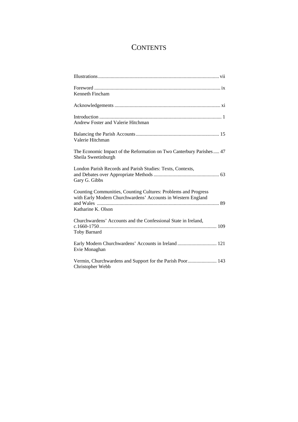## **CONTENTS**

| Kenneth Fincham                                                                                                                                      |
|------------------------------------------------------------------------------------------------------------------------------------------------------|
|                                                                                                                                                      |
| Andrew Foster and Valerie Hitchman                                                                                                                   |
| Valerie Hitchman                                                                                                                                     |
| The Economic Impact of the Reformation on Two Canterbury Parishes 47<br>Sheila Sweetinburgh                                                          |
| London Parish Records and Parish Studies: Texts, Contexts,<br>Gary G. Gibbs                                                                          |
| Counting Communities, Counting Cultures: Problems and Progress<br>with Early Modern Churchwardens' Accounts in Western England<br>Katharine K. Olson |
| Churchwardens' Accounts and the Confessional State in Ireland,<br>Toby Barnard                                                                       |
| Evie Monaghan                                                                                                                                        |
| Vermin, Churchwardens and Support for the Parish Poor 143<br>Christopher Webb                                                                        |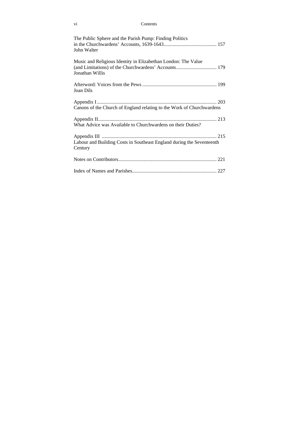#### vi Contents

| The Public Sphere and the Parish Pump: Finding Politics<br>John Walter                                                                   |
|------------------------------------------------------------------------------------------------------------------------------------------|
| Music and Religious Identity in Elizabethan London: The Value<br>(and Limitations) of the Churchwardens' Accounts 179<br>Jonathan Willis |
| Joan Dils                                                                                                                                |
| Canons of the Church of England relating to the Work of Churchwardens                                                                    |
| What Advice was Available to Churchwardens on their Duties?                                                                              |
| Labour and Building Costs in Southeast England during the Seventeenth<br>Century                                                         |
|                                                                                                                                          |
|                                                                                                                                          |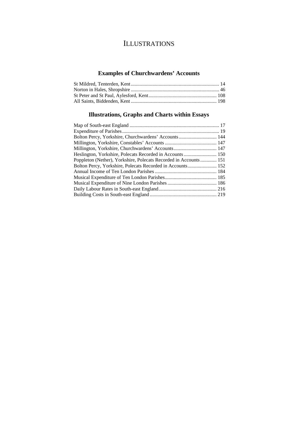## ILLUSTRATIONS

### **Examples of Churchwardens' Accounts**

#### **Illustrations, Graphs and Charts within Essays**

| Poppleton (Nether), Yorkshire, Polecats Recorded in Accounts 151 |  |
|------------------------------------------------------------------|--|
|                                                                  |  |
|                                                                  |  |
|                                                                  |  |
|                                                                  |  |
|                                                                  |  |
|                                                                  |  |
|                                                                  |  |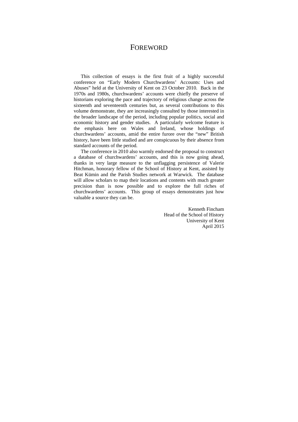#### FOREWORD

This collection of essays is the first fruit of a highly successful conference on "Early Modern Churchwardens' Accounts: Uses and Abuses" held at the University of Kent on 23 October 2010. Back in the 1970s and 1980s, churchwardens' accounts were chiefly the preserve of historians exploring the pace and trajectory of religious change across the sixteenth and seventeenth centuries but, as several contributions to this volume demonstrate, they are increasingly consulted by those interested in the broader landscape of the period, including popular politics, social and economic history and gender studies. A particularly welcome feature is the emphasis here on Wales and Ireland, whose holdings of churchwardens' accounts, amid the entire furore over the "new" British history, have been little studied and are conspicuous by their absence from standard accounts of the period.

The conference in 2010 also warmly endorsed the proposal to construct a database of churchwardens' accounts, and this is now going ahead, thanks in very large measure to the unflagging persistence of Valerie Hitchman, honorary fellow of the School of History at Kent, assisted by Beat Kümin and the Parish Studies network at Warwick. The database will allow scholars to map their locations and contents with much greater precision than is now possible and to explore the full riches of churchwardens' accounts. This group of essays demonstrates just how valuable a source they can be.

> Kenneth Fincham Head of the School of History University of Kent April 2015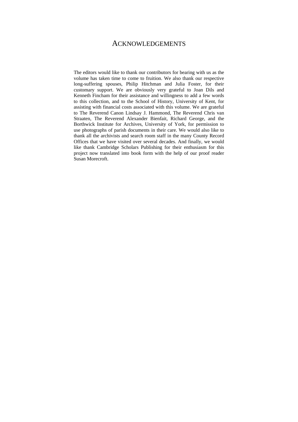#### ACKNOWLEDGEMENTS

The editors would like to thank our contributors for bearing with us as the volume has taken time to come to fruition. We also thank our respective long-suffering spouses, Philip Hitchman and Julia Foster, for their customary support. We are obviously very grateful to Joan Dils and Kenneth Fincham for their assistance and willingness to add a few words to this collection, and to the School of History, University of Kent, for assisting with financial costs associated with this volume. We are grateful to The Reverend Canon Lindsay J. Hammond, The Reverend Chris van Straaten, The Reverend Alexander Bienfait, Richard George, and the Borthwick Institute for Archives, University of York, for permission to use photographs of parish documents in their care. We would also like to thank all the archivists and search room staff in the many County Record Offices that we have visited over several decades. And finally, we would like thank Cambridge Scholars Publishing for their enthusiasm for this project now translated into book form with the help of our proof reader Susan Morecroft.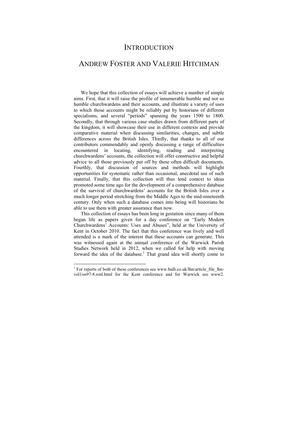### **INTRODUCTION**

### ANDREW FOSTER AND VALERIE HITCHMAN

We hope that this collection of essays will achieve a number of simple aims. First, that it will raise the profile of innumerable humble and not so humble churchwardens and their accounts, and illustrate a variety of uses to which those accounts might be reliably put by historians of different specialisms, and several "periods" spanning the years 1500 to 1800. Secondly, that through various case studies drawn from different parts of the kingdom, it will showcase their use in different contexts and provide comparative material when discussing similarities, changes, and subtle differences across the British Isles. Thirdly, that thanks to all of our contributors commendably and openly discussing a range of difficulties encountered in locating, identifying, reading and interpreting churchwardens' accounts, the collection will offer constructive and helpful advice to all those previously put off by these often difficult documents. Fourthly, that discussion of sources and methods will highlight opportunities for systematic rather than occasional, anecdotal use of such material. Finally, that this collection will thus lend context to ideas promoted some time ago for the development of a comprehensive database of the survival of churchwardens' accounts for the British Isles over a much longer period stretching from the Middle Ages to the mid-nineteenth century. Only when such a database comes into being will historians be able to use them with greater assurance than now.

This collection of essays has been long in gestation since many of them began life as papers given for a day conference on "Early Modern Churchwardens' Accounts: Uses and Abuses", held at the University of Kent in October 2010. The fact that this conference was lively and well attended is a mark of the interest that these accounts can generate. This was witnessed again at the annual conference of the Warwick Parish Studies Network held in 2012, when we called for help with moving forward the idea of the database.<sup>1</sup> That grand idea will shortly come to

<sup>&</sup>lt;sup>1</sup> For reports of both of these conferences see www.balh.co.uk/lhn/article file lhnvol1iss97-8.xml.html for the Kent conference and for Warwick see www2.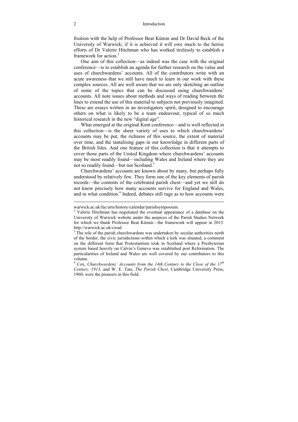fruition with the help of Professor Beat Kümin and Dr David Beck of the University of Warwick; if it is achieved it will owe much to the heroic efforts of Dr Valerie Hitchman who has worked tirelessly to establish a framework for action  $2$ 

One aim of this collection––as indeed was the case with the original conference––is to establish an agenda for further research on the value and uses of churchwardens' accounts. All of the contributors write with an acute awareness that we still have much to learn in our work with these complex sources. All are well aware that we are only sketching an outline of some of the topics that can be discussed using churchwardens' accounts. All note issues about methods and ways of reading between the lines to extend the use of this material to subjects not previously imagined. These are essays written in an investigatory spirit, designed to encourage others on what is likely to be a team endeavour, typical of so much historical research in the new "digital age".

What emerged at the original Kent conference—and is well reflected in this collection––is the sheer variety of uses to which churchwardens' accounts may be put, the richness of this source, the extent of material over time, and the tantalising gaps in our knowledge in different parts of the British Isles. And one feature of this collection is that it attempts to cover those parts of the United Kingdom where churchwardens' accounts may be most readily found––including Wales and Ireland where they are not so readily found—but not Scotland.<sup>3</sup>

Churchwardens' accounts are known about by many, but perhaps fully understood by relatively few. They form one of the key elements of parish records––the contents of the celebrated parish chest––and yet we still do not know precisely how many accounts survive for England and Wales, and in what condition.<sup>4</sup> Indeed, debates still rage as to how accounts were

warwick.ac.uk/fac/arts/history/calendar/parishsymposium.

<sup>&</sup>lt;sup>2</sup> Valerie Hitchman has negotiated the eventual appearance of a database on the University of Warwick website under the auspices of the Parish Studies Network for which we thank Professor Beat Kümin––the framework will appear in 2015. http://warwick.ac.uk/cwad

 $3$  The role of the parish churchwardens was undertaken by secular authorities north of the border, the civic jurisdictions within which a kirk was situated, a comment on the different form that Protestantism took in Scotland where a Presbyterian system based heavily on Calvin's Geneva was established post Reformation. The particularities of Ireland and Wales are well covered by our contributors to this volume.

<sup>&</sup>lt;sup>4</sup> Cox, *Churchwardens' Accounts from the 14th Century to the Close of the 17<sup>th</sup> Century, 1913,* and W. E. Tate, *The Parish Chest*, Cambridge University Press, 1960, were the pioneers in this field.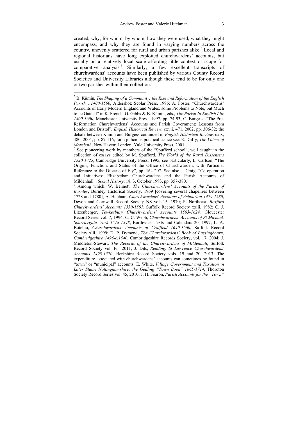created, why, for whom, by whom, how they were used, what they might encompass, and why they are found in varying numbers across the country, unevenly scattered for rural and urban parishes alike.<sup>5</sup> Local and regional historians have long exploited churchwardens' accounts, but usually on a relatively local scale affording little context or scope for comparative analysis.<sup>6</sup> Similarly, a few excellent transcripts of churchwardens' accounts have been published by various County Record Societies and University Libraries although these tend to be for only one or two parishes within their collection.7

<sup>5</sup> B. Kümin, *The Shaping of a Community: the Rise and Reformation of the English Parish c.1400-1560*, Aldershot: Scolar Press, 1996; A. Foster, "Churchwardens' Accounts of Early Modern England and Wales: some Problems to Note, but Much to be Gained" in K. French, G. Gibbs & B. Kümin, eds., *The Parish In English Life 1400-1600*, Manchester University Press, 1997, pp. 74-93; C. Burgess, "The Pre-Reformation Churchwardens' Accounts and Parish Government: Lessons from London and Bristol", *English Historical Review*, cxvii, 471, 2002, pp. 306-32; the debate between Kümin and Burgess continued in *English Historical Review*, cxix, 480, 2004, pp. 87-116; for a judicious practical stance see: E. Duffy, *The Voices of Morebath*, New Haven: London: Yale University Press, 2001.

 $6$  See pioneering work by members of the "Spufford school", well caught in the collection of essays edited by M. Spufford, *The World of the Rural Dissenters 1520-1725*, Cambridge University Press, 1995, see particularly, E. Carlson, "The Origins, Function, and Status of the Office of Churchwarden, with Particular Reference to the Diocese of Ely", pp. 164-207. See also J. Craig, "Co-operation and Initiatives: Elizabethan Churchwardens and the Parish Accounts of Mildenhall", *Social History*, 18, 3, October 1993, pp. 357-380. 7

Among which: W. Bennett, *The Churchwardens' Accounts of the Parish of Burnley*, Burnley Historical Society, 1969 [covering several chapelries between 1728 and 1780]; A. Hanham, *Churchwardens' Accounts of Ashburton 1479-1580*, Devon and Cornwall Record Society NS vol. 15, 1970; P. Northeast, *Boxford Churchwardens' Accounts 1530-1561*, Suffolk Record Society xxiii, 1982; C. J. Litzenberger, *Tewkesbury Churchwardens' Accounts 1563-1624,* Gloucester Record Series vol. 7, 1994; C. C. Webb, *Churchwardens' Accounts of St Michael, Spurriergate, York 1518-1548*, Borthwick Texts and Calendars 20, 1997; L. A. Botelho, *Churchwardens' Accounts of Cratfield 1640-1660*, Suffolk Record Society xlii, 1999; D. P. Dymond, *The Churchwardens' Book of Bassingbourn, Cambridgeshire 1496-c.1540*, Cambridgeshire Records Society, vol. 17, 2004; J. Middleton-Stewart, *The Records of the Churchwardens of Mildenhall*, Suffolk Record Society vol. lvi, 2011; J. Dils, *Reading, St Lawrence Churchwardens' Accounts 1498-1570*, Berkshire Record Society vols. 19 and 20, 2013. The expenditure associated with churchwardens' accounts can sometimes be found in "town" or "municipal" accounts. E. White, *Village Government and Taxation in Later Stuart Nottinghamshire: the Gedling "Town Book" 1665-1714*, Thoroton Society Record Series vol. 45, 2010; J. H. Fearon, *Parish Accounts for the "Town"*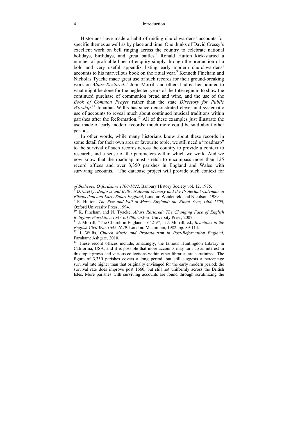#### 4 Introduction

Historians have made a habit of raiding churchwardens' accounts for specific themes as well as by place and time. One thinks of David Cressy's excellent work on bell ringing across the country to celebrate national holidays, birthdays, and great battles.8 Ronald Hutton kick-started a number of profitable lines of enquiry simply through the production of a bold and very useful appendix listing early modern churchwardens' accounts to his marvellous book on the ritual year.<sup>9</sup> Kenneth Fincham and Nicholas Tyacke made great use of such records for their ground-breaking work on *Altars Restored*.<sup>10</sup> John Morrill and others had earlier pointed to what might be done for the neglected years of the Interregnum to show the continued purchase of communion bread and wine, and the use of the *Book of Common Prayer* rather than the state *Directory for Public*  Worship.<sup>11</sup> Jonathan Willis has since demonstrated clever and systematic use of accounts to reveal much about continued musical traditions within parishes after the Reformation.<sup>12</sup> All of these examples just illustrate the use made of early modern records; much more could be said about other periods.

In other words, while many historians know about these records in some detail for their own area or favourite topic, we still need a "roadmap" to the survival of such records across the country to provide a context to research, and a sense of the parameters within which we work. And we now know that the roadmap must stretch to encompass more than 125 record offices and over 3,350 parishes in England and Wales with surviving accounts.<sup>13</sup> The database project will provide such context for

*of Bodicote, Oxfordshire 1700-1822,* Banbury History Society vol. 12, 1975. 8

D. Cressy, *Bonfires and Bells: National Memory and the Protestant Calendar in Elizabethan and Early Stuart England*, London: Weidenfeld and Nicolson, 1989.

R. Hutton, *The Rise and Fall of Merry England: the Ritual Year, 1400-1700*, Oxford University Press, 1994.

<sup>&</sup>lt;sup>10</sup> K. Fincham and N. Tyacke, *Altars Restored: The Changing Face of English Religious Worship, c.1547-c.1700, Oxford University Press, 2007.* 

<sup>&</sup>lt;sup>11</sup> J. Morrill, "The Church in England, 1642-9", in J. Morrill, ed., *Reactions to the English Civil War 1642-1649*, London: Macmillan, 1982, pp. 89-114.

<sup>&</sup>lt;sup>12</sup> J. Willis, Church Music and Protestantism in Post-Reformation England, Farnham: Ashgate, 2010.

<sup>&</sup>lt;sup>13</sup> These record offices include, amazingly, the famous Huntingdon Library in California, USA, and it is possible that more accounts may turn up as interest in this topic grows and various collections within other libraries are scrutinized. The figure of 3,350 parishes covers a long period, but still suggests a percentage survival rate higher than that originally envisaged for the early modern period; the survival rate does improve post 1660, but still not uniformly across the British Isles. More parishes with surviving accounts are found through scrutinizing the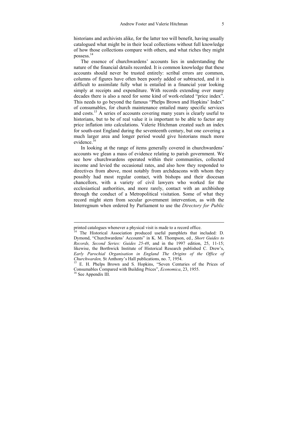historians and archivists alike, for the latter too will benefit, having usually catalogued what might be in their local collections without full knowledge of how those collections compare with others, and what riches they might possess.14

The essence of churchwardens' accounts lies in understanding the nature of the financial details recorded. It is common knowledge that these accounts should never be trusted entirely: scribal errors are common, columns of figures have often been poorly added or subtracted, and it is difficult to assimilate fully what is entailed in a financial year looking simply at receipts and expenditure. With records extending over many decades there is also a need for some kind of work-related "price index". This needs to go beyond the famous "Phelps Brown and Hopkins' Index" of consumables, for church maintenance entailed many specific services and costs.15 A series of accounts covering many years is clearly useful to historians, but to be of real value it is important to be able to factor any price inflation into calculations. Valerie Hitchman created such an index for south-east England during the seventeenth century, but one covering a much larger area and longer period would give historians much more evidence<sup>16</sup>

In looking at the range of items generally covered in churchwardens' accounts we glean a mass of evidence relating to parish government. We see how churchwardens operated within their communities, collected income and levied the occasional rates, and also how they responded to directives from above, most notably from archdeacons with whom they possibly had most regular contact, with bishops and their diocesan chancellors, with a variety of civil lawyers who worked for the ecclesiastical authorities, and more rarely, contact with an archbishop through the conduct of a Metropolitical visitation. Some of what they record might stem from secular government intervention, as with the Interregnum when ordered by Parliament to use the *Directory for Public* 

printed catalogues whenever a physical visit is made to a record office.

<sup>&</sup>lt;sup>14</sup> The Historical Association produced useful pamphlets that included: D. Dymond, "Churchwardens' Accounts" in K. M. Thompson, ed., *Short Guides to Records, Second Series: Guides 25-48*, and in the 1997 edition, 25, 11-15; likewise, the Borthwick Institute of Historical Research published C. Drew's, *Early Parochial Organisation in England The Origins of the Office of* 

<sup>&</sup>lt;sup>15</sup> E. H. Phelps Brown and S. Hopkins, "Seven Centuries of the Prices of Consumables Compared with Building Prices", *Economica*, 23, 1955. 16 See Appendix III.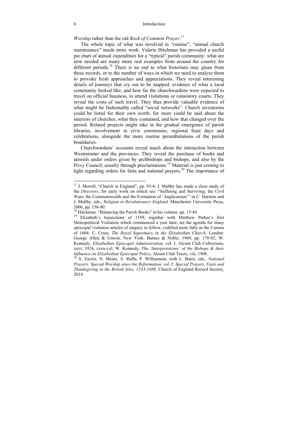*Worship* rather than the old *Book of Common Prayer*. 17

The whole topic of what was involved in "routine", "annual church maintenance" needs more work. Valerie Hitchman has provided a useful pie chart of annual expenditure for a "typical" parish community: what are now needed are many more real examples from around the country for different periods.<sup>18</sup> There is no end to what historians may glean from these records, or to the number of ways in which we need to analyse them to provoke fresh approaches and appreciations. They reveal interesting details of journeys that cry out to be mapped: evidence of what a local community looked like, and how far the churchwardens were expected to travel on official business, to attend visitations or consistory courts. They reveal the costs of such travel. They thus provide valuable evidence of what might be fashionably called "social networks". Church inventories could be listed for their own worth, for more could be said about the interiors of churches, what they contained, and how that changed over the period. Related projects might take in the gradual emergence of parish libraries, involvement in civic ceremonies, regional feast days and celebrations, alongside the more routine perambulations of the parish boundaries.

Churchwardens' accounts reveal much about the interaction between Westminster and the provinces. They reveal the purchase of books and utensils under orders given by archbishops and bishops, and also by the Privy Council, usually through proclamations.<sup>19</sup> Material is just coming to light regarding orders for fasts and national prayers.<sup>20</sup> The importance of

<sup>&</sup>lt;sup>17</sup> J. Morrill, "Church in England", pp. 93-4; J. Maltby has made a close study of the *Directory*, for early work on which see: "Suffering and Surviving: the Civil Wars, the Commonwealth and the Formation of 'Anglicanism'" in C. Durston and J. Maltby, eds., *Religion in Revolutionary England,* Manchester University Press, 2006, pp. 158-80.

<sup>&</sup>lt;sup>18</sup> Hitchman, "Balancing the Parish Books" in his volume, pp. 15-44.<br><sup>19</sup> Elizabeth's Injunctions of 1559, together with Matthew Parker's first

Metropolitical Visitation which commenced a year later, set the agenda for many episcopal visitation articles of enquiry to follow, codified more fully in the Canons of 1604: C. Cross, *The Royal Supremacy in the Elizabethan Church*, London: George Allen & Unwin; New York: Barnes & Noble, 1969, pp. 178-82; W. Kennedy, *Elizabethan Episcopal Administration*, vol. I, Alcuin Club Collections, xxvi, 1924, cxxx-cxl; W. Kennedy, *The 'Interpretations' of the Bishops & their* 

<sup>&</sup>lt;sup>20</sup> S. Taylor, N. Mears, A. Raffe, P. Williamson, with L. Bates, eds., *National Prayers: Special Worship since the Reformation, vol. I: Special Prayers, Fasts and Thanksgiving in the British Isles, 1533-1688,* Church of England Record Society, 2014.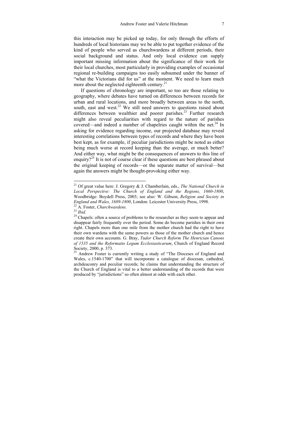this interaction may be picked up today, for only through the efforts of hundreds of local historians may we be able to put together evidence of the kind of people who served as churchwardens at different periods, their social background and status. And only local evidence can supply important missing information about the significance of their work for their local churches, most particularly in providing examples of occasional regional re-building campaigns too easily subsumed under the banner of "what the Victorians did for us" at the moment. We need to learn much more about the neglected eighteenth century. $2<sup>1</sup>$ 

If questions of chronology are important, so too are those relating to geography, where debates have turned on differences between records for urban and rural locations, and more broadly between areas to the north, south, east and west.<sup>22</sup> We still need answers to questions raised about differences between wealthier and poorer parishes.<sup>23</sup> Further research might also reveal peculiarities with regard to the nature of parishes covered—and indeed a number of chapelries caught within the net. $24$  In asking for evidence regarding income, our projected database may reveal interesting correlations between types of records and where they have been best kept, as for example, if peculiar jurisdictions might be noted as either being much worse at record keeping than the average, or much better? And either way, what might be the consequences of answers to this line of enquiry?<sup>25</sup> It is not of course clear if these questions are best phrased about the original keeping of records––or the separate matter of survival––but again the answers might be thought-provoking either way.

<sup>21</sup> Of great value here: J. Gregory & J. Chamberlain, eds., *The National Church in Local Perspective: The Church of England and the Regions, 1660-1800*, Woodbridge: Boydell Press, 2003; see also: W. Gibson, *Religion and Society in* 

<sup>&</sup>lt;sup>22</sup> A. Foster, *Churchwardens*.<br><sup>23</sup> *Ibid.* 24 Chapels: often a source of problems to the researcher as they seem to appear and disappear fairly frequently over the period. Some do become parishes in their own right. Chapels more than one mile from the mother church had the right to have their own wardens with the same powers as those of the mother church and hence create their own accounts. G. Bray, *Tudor Church Reform The Henrician Canons of 1535 and the Reformatio Legum Ecclesiasticarum*, Church of England Record Society, 2000, p. 373.

<sup>&</sup>lt;sup>25</sup> Andrew Foster is currently writing a study of "The Dioceses of England and Wales, c.1540-1700" that will incorporate a catalogue of diocesan, cathedral, archdeaconry and peculiar records; he claims that understanding the structure of the Church of England is vital to a better understanding of the records that were produced by "jurisdictions" so often almost at odds with each other.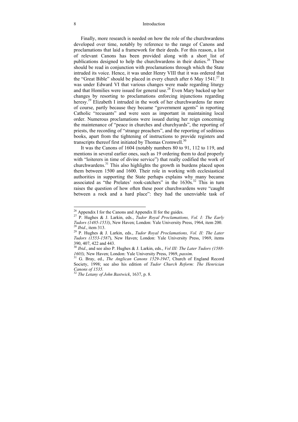#### 8 Introduction

Finally, more research is needed on how the role of the churchwardens developed over time, notably by reference to the range of Canons and proclamations that laid a framework for their deeds. For this reason, a list of relevant Canons has been provided along with a short list of publications designed to help the churchwardens in their duties.<sup>26</sup> These should be read in conjunction with proclamations through which the State intruded its voice. Hence, it was under Henry VIII that it was ordered that the "Great Bible" should be placed in every church after 6 May  $1541<sup>27</sup>$  It was under Edward VI that various changes were made regarding liturgy and that Homilies were issued for general use.28 Even Mary backed up her changes by resorting to proclamations enforcing injunctions regarding heresy.<sup>29</sup> Elizabeth I intruded in the work of her churchwardens far more of course, partly because they became "government agents" in reporting Catholic "recusants" and were seen as important in maintaining local order. Numerous proclamations were issued during her reign concerning the maintenance of "peace in churches and churchyards", the reporting of priests, the recording of "strange preachers", and the reporting of seditious books, apart from the tightening of instructions to provide registers and transcripts thereof first initiated by Thomas Cromwell.<sup>30</sup>

It was the Canons of 1604 (notably numbers 80 to 91, 112 to 119, and mentions in several earlier ones, such as 19 ordering them to deal properly with "loiterers in time of divine service") that really codified the work of churchwardens.31 This also highlights the growth in burdens placed upon them between 1500 and 1600. Their role in working with ecclesiastical authorities in supporting the State perhaps explains why many became associated as "the Prelates' rook-catchers" in the 1630s.<sup>32</sup> This in turn raises the question of how often these poor churchwardens were "caught between a rock and a hard place": they had the unenviable task of

 $26$  Appendix I for the Canons and Appendix II for the guides.

<sup>&</sup>lt;sup>27</sup> P. Hughes & J. Larkin, eds., *Tudor Royal Proclamations, Vol. I: The Early Tudors (1485-1553)*, New Haven; London: Yale University Press, 1964, item 200. *Tudors (1485-1553)*, New Haven; London: Yale University Press, 1964, item 200. 28 *Ibid*., item 313. 29 P. Hughes & J. Larkin, eds., *Tudor Royal Proclamations, Vol. II: The Later* 

*Tudors (1553-1587*), New Haven; London: Yale University Press, 1969, items 390, 407, 422 and 443.

<sup>&</sup>lt;sup>30</sup> *Ibid.*, and see also P. Hughes & J. Larkin, eds., *Vol III: The Later Tudors (1588-1603)*. New Haven: London: Yale University Press, 1969, *passim*.

<sup>&</sup>lt;sup>31</sup> G. Bray, ed., *The Anglican Canons 1529-1947*, Church of England Record Society, 1998; see also his edition of *Tudor Church Reform: The Henrician Canons of 1535.* 

<sup>32</sup> *The Letany of John Bastwick*, 1637, p. 8.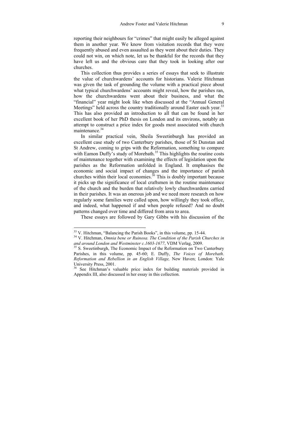reporting their neighbours for "crimes" that might easily be alleged against them in another year. We know from visitation records that they were frequently abused and even assaulted as they went about their duties. They could not win, on which note, let us be thankful for the records that they have left us and the obvious care that they took in looking after our churches.

This collection thus provides a series of essays that seek to illustrate the value of churchwardens' accounts for historians. Valerie Hitchman was given the task of grounding the volume with a practical piece about what typical churchwardens' accounts might reveal, how the parishes ran, how the churchwardens went about their business, and what the "financial" year might look like when discussed at the "Annual General Meetings" held across the country traditionally around Easter each year.<sup>33</sup> This has also provided an introduction to all that can be found in her excellent book of her PhD thesis on London and its environs, notably an attempt to construct a price index for goods most associated with church maintenance 34

In similar practical vein, Sheila Sweetinburgh has provided an excellent case study of two Canterbury parishes, those of St Dunstan and St Andrew, coming to grips with the Reformation, something to compare with Eamon Duffy's study of Morebath.<sup>35</sup> This highlights the routine costs of maintenance together with examining the effects of legislation upon the parishes as the Reformation unfolded in England. It emphasises the economic and social impact of changes and the importance of parish churches within their local economies.<sup>36</sup> This is doubly important because it picks up the significance of local craftsmen in the routine maintenance of the church and the burden that relatively lowly churchwardens carried in their parishes. It was an onerous job and we need more research on how regularly some families were called upon, how willingly they took office, and indeed, what happened if and when people refused? And no doubt patterns changed over time and differed from area to area.

These essays are followed by Gary Gibbs with his discussion of the

<sup>&</sup>lt;sup>33</sup> V. Hitchman, "Balancing the Parish Books", in this volume, pp. 15-44.

<sup>&</sup>lt;sup>34</sup> V. Hitchman, Omnia bene or Ruinosa. The Condition of the Parish Churches in *and around London and Westminster c.1603-1677*, VDM Verlag, 2009.<br><sup>35</sup> S. Sweetinburgh, The Economic Impact of the Reformation on Two Canterbury

Parishes, in this volume, pp. 45-60; E. Duffy, *The Voices of Morebath*. *Reformation and Rebellion in an English Village,* New Haven; London: Yale University Press, 2001.

<sup>&</sup>lt;sup>36</sup> See Hitchman's valuable price index for building materials provided in Appendix III, also discussed in her essay in this collection.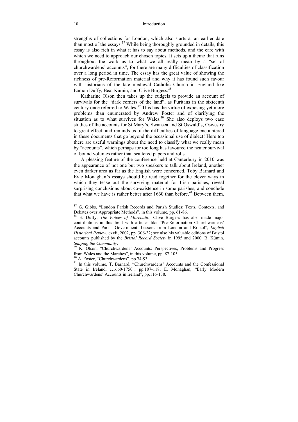strengths of collections for London, which also starts at an earlier date than most of the essays.<sup>37</sup> While being thoroughly grounded in details, this essay is also rich in what it has to say about methods, and the care with which we need to approach our chosen topics. It sets up a theme that runs throughout the work as to what we all really mean by a "set of churchwardens' accounts", for there are many difficulties of classification over a long period in time. The essay has the great value of showing the richness of pre-Reformation material and why it has found such favour with historians of the late medieval Catholic Church in England like Eamon Duffy, Beat Kümin, and Clive Burgess.<sup>38</sup>

Katharine Olson then takes up the cudgels to provide an account of survivals for the "dark corners of the land", as Puritans in the sixteenth century once referred to Wales.<sup>39</sup> This has the virtue of exposing yet more problems than enumerated by Andrew Foster and of clarifying the situation as to what survives for Wales.<sup>40</sup> She also deploys two case studies of the accounts for St Mary's, Swansea and St Oswald's, Oswestry to great effect, and reminds us of the difficulties of language encountered in these documents that go beyond the occasional use of dialect! Here too there are useful warnings about the need to classify what we really mean by "accounts", which perhaps for too long has favoured the neater survival of bound volumes rather than scattered papers and rolls.

A pleasing feature of the conference held at Canterbury in 2010 was the appearance of not one but two speakers to talk about Ireland, another even darker area as far as the English were concerned. Toby Barnard and Evie Monaghan's essays should be read together for the clever ways in which they tease out the surviving material for Irish parishes, reveal surprising conclusions about co-existence in some parishes, and conclude that what we have is rather better after 1660 than before.<sup>41</sup> Between them,

<sup>&</sup>lt;sup>37</sup> G. Gibbs, "London Parish Records and Parish Studies: Texts, Contexts, and Debates over Appropriate Methods", in this volume, pp. 61-86.

<sup>&</sup>lt;sup>38</sup> E. Duffy, *The Voices of Morebath*.; Clive Burgess has also made major contributions in this field with articles like "Pre-Reformation Churchwardens' Accounts and Parish Government: Lessons from London and Bristol", *English Historical Review*, cxvii, 2002, pp. 306-32; see also his valuable editions of Bristol accounts published by the *Bristol Record Society* in 1995 and 2000. B. Kümin,

*Shaping the Community*. 39 K. Olson, "Churchwardens' Accounts: Perspectives, Problems and Progress from Wales and the Marches", in this volume, pp. 87-105.

<sup>40</sup> A. Foster, "Churchwardens", pp.74-93.

<sup>&</sup>lt;sup>41</sup> In this volume, T. Barnard, "Churchwardens' Accounts and the Confessional State in Ireland, c.1660-1750", pp.107-118; E. Monaghan, "Early Modern Churchwardens' Accounts in Ireland", pp.116-138.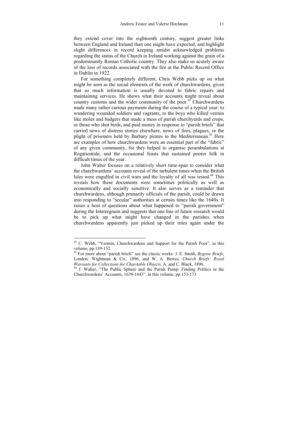they extend cover into the eighteenth century, suggest greater links between England and Ireland than one might have expected, and highlight slight differences in record keeping amidst acknowledged problems regarding the status of the Church in Ireland working against the grain of a predominantly Roman Catholic country. They also make us acutely aware of the loss of records associated with the fire at the Public Record Office in Dublin in 1922.

For something completely different, Chris Webb picks up on what might be seen as the social elements of the work of churchwardens, given that so much information is usually devoted to fabric repairs and maintaining services. He shows what their accounts might reveal about country customs and the wider community of the poor.<sup>42</sup> Churchwardens made many rather curious payments during the course of a typical year: to wandering wounded soldiers and vagrants, to the boys who killed vermin like moles and badgers that made a mess of parish churchyards and crops, or those who shot birds, and paid money in response to "parish briefs" that carried news of distress stories elsewhere, news of fires, plagues, or the plight of prisoners held by Barbary pirates in the Mediterranean.<sup>43</sup> Here are examples of how churchwardens were an essential part of the "fabric" of any given community, for they helped to organise perambulations at Rogationtide, and the occasional feasts that sustained poorer folk in difficult times of the year.

John Walter focuses on a relatively short time-span to consider what the churchwardens' accounts reveal of the turbulent times when the British Isles were engulfed in civil wars and the loyalty of all was tested.<sup>44</sup> This reveals how these documents were sometimes politically as well as economically and socially sensitive. It also serves as a reminder that churchwardens, although primarily officials of the parish, could be drawn into responding to "secular" authorities at certain times like the 1640s. It raises a host of questions about what happened to "parish government" during the Interregnum and suggests that one line of future research would be to pick up what might have changed in the parishes when churchwardens apparently just picked up their roles again under the

 $42$  C. Webb, "Vermin, Churchwardens and Support for the Parish Poor", in this volume, pp.139-152.

<sup>43</sup> For more about "parish briefs" see the classic works: J. E. Smith, *Bygone Briefs*, London: Wightman & Co., 1896, and W. A. Bewes*, Church Briefs: Royal Warrants for Collections for Charitable Objects*, A. and C. Black, 1896.<br><sup>44</sup> J. Walter, "The Public Sphere and the Parish Pump: Finding Politics in the

Churchwardens' Accounts, 1639-1643", in this volume, pp.153-173.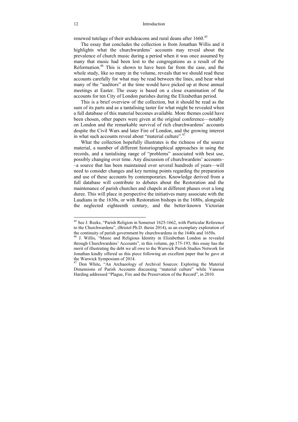renewed tutelage of their archdeacons and rural deans after 1660.<sup>45</sup>

The essay that concludes the collection is from Jonathan Willis and it highlights what the churchwardens' accounts may reveal about the prevalence of church music during a period when it was once assumed by many that music had been lost to the congregations as a result of the Reformation.<sup>46</sup> This is shown to have been far from the case, and the whole study, like so many in the volume, reveals that we should read these accounts carefully for what may be read between the lines, and hear what many of the "auditors" at the time would have picked up at those annual meetings at Easter. The essay is based on a close examination of the accounts for ten City of London parishes during the Elizabethan period.

This is a brief overview of the collection, but it should be read as the sum of its parts and as a tantalising taster for what might be revealed when a full database of this material becomes available. More themes could have been chosen, other papers were given at the original conference––notably on London and the remarkable survival of rich churchwardens' accounts despite the Civil Wars and later Fire of London, and the growing interest in what such accounts reveal about "material culture".<sup>47</sup>

What the collection hopefully illustrates is the richness of the source material, a number of different historiographical approaches in using the records, and a tantalising range of "problems" associated with best use, possibly changing over time. Any discussion of churchwardens' accounts– –a source that has been maintained over several hundreds of years––will need to consider changes and key turning points regarding the preparation and use of these accounts by contemporaries. Knowledge derived from a full database will contribute to debates about the Restoration and the maintenance of parish churches and chapels at different phases over a long duree. This will place in perspective the initiatives many associate with the Laudians in the 1630s, or with Restoration bishops in the 1680s, alongside the neglected eighteenth century, and the better-known Victorian

<sup>45</sup> See J. Reeks, "Parish Religion in Somerset 1625-1662, with Particular Reference to the Churchwardens", (Bristol Ph.D. thesis 2014), as an exemplary exploration of the continuity of parish government by churchwardens in the 1640s and 1650s.

<sup>46</sup> J. Willis, "Music and Religious Identity in Elizabethan London as revealed through Churchwardens' Accounts", in this volume, pp.175-193; this essay has the merit of illustrating the debt we all owe to the Warwick Parish Studies Network for Jonathan kindly offered us this piece following an excellent paper that he gave at the Warwick Symposium of 2014.

<sup>47</sup> Don White**.** "An Archaeology of Archival Sources: Exploring the Material Dimensions of Parish Accounts discussing "material culture" while Vanessa Harding addressed "Plague, Fire and the Preservation of the Record", in 2010.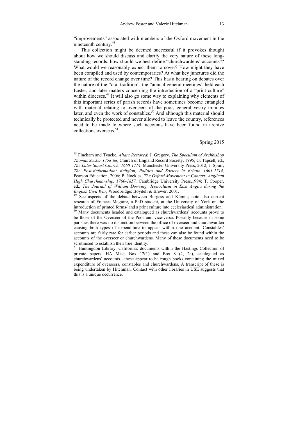"improvements" associated with members of the Oxford movement in the nineteenth century.48

This collection might be deemed successful if it provokes thought about how we should discuss and clarify the very nature of these longstanding records: how should we best define "churchwardens' accounts"? What would we reasonably expect them to cover? How might they have been compiled and used by contemporaries? At what key junctures did the nature of the record change over time? This has a bearing on debates over the nature of the "oral tradition", the "annual general meetings" held each Easter, and later matters concerning the introduction of a "print culture" within dioceses.<sup>49</sup> It will also go some way to explaining why elements of this important series of parish records have sometimes become entangled with material relating to overseers of the poor, general vestry minutes later, and even the work of constables.<sup>50</sup> And although this material should technically be protected and never allowed to leave the country, references need to be made to where such accounts have been found in archive collections overseas.<sup>51</sup>

Spring 2015

<sup>48</sup> Fincham and Tyacke, *Altars Restored*; J. Gregory, *The Speculum of Archbishop Thomas Secker 1758-68*, Church of England Record Society, 1995; G. Tapsell, ed., *The Later Stuart Church, 1660-1714*, Manchester University Press, 2012; J. Spurr, *The Post-Reformation: Religion, Politics and Society in Britain 1603-1714,* Pearson Education, 2006; P. Nockles, *The Oxford Movement in Context: Anglican High Churchmanship, 1760-1857,* Cambridge University Press,1994; T. Cooper, ed., *The Journal of William Dowsing: Iconoclasm in East Anglia during the English Civil War*, Woodbridge: Boydell & Brewer, 2001.<br><sup>49</sup> See aspects of the debate between Burgess and Kümin; note also current

research of Frances Maguire, a PhD student, at the University of York on the introduction of printed forms/ and a print culture into ecclesiastical administration.

<sup>&</sup>lt;sup>50</sup> Many documents headed and catalogued as churchwardens' accounts prove to be those of the Overseer of the Poor and vice-versa. Possibly because in some parishes there was no distinction between the office of overseer and churchwarden causing both types of expenditure to appear within one account. Constables' accounts are fairly rare for earlier periods and these can also be found within the accounts of the overseer or churchwardens. Many of these documents need to be scrutinised to establish their true identity.<br><sup>51</sup> Huntingdon Library, California: documents within the Hastings Collection of

private papers, HA Misc. Box 12(1) and Box 8 (2, 2a), catalogued as churchwardens' accounts––these appear to be rough books containing the mixed expenditure of overseers, constables and churchwardens. A transcript of these is being undertaken by Hitchman. Contact with other libraries in USE suggests that this is a unique occurrence.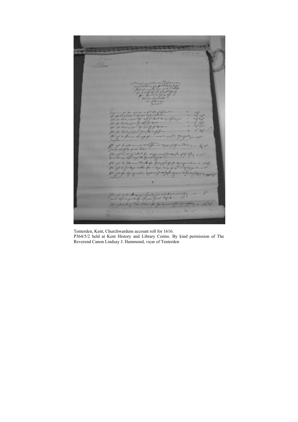2 200 #  $G_{\text{F}}$ 

Tenterden, Kent, Churchwardens account roll for 1616.

P364/5/2 held at Kent History and Library Centre. By kind permission of The Reverend Canon Lindsay J. Hammond, vicar of Tenterden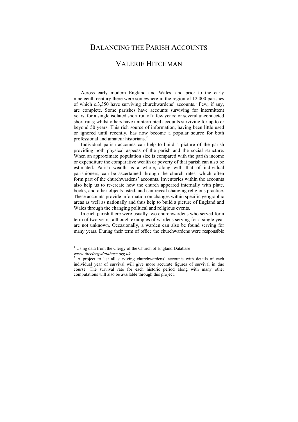# BALANCING THE PARISH ACCOUNTS VALERIE HITCHMAN

Across early modern England and Wales, and prior to the early nineteenth century there were somewhere in the region of 12,000 parishes of which  $c.3,350$  have surviving churchwardens' accounts.<sup>1</sup> Few, if any, are complete. Some parishes have accounts surviving for intermittent years, for a single isolated short run of a few years; or several unconnected short runs; whilst others have uninterrupted accounts surviving for up to or beyond 50 years. This rich source of information, having been little used or ignored until recently, has now become a popular source for both professional and amateur historians.<sup>2</sup>

Individual parish accounts can help to build a picture of the parish providing both physical aspects of the parish and the social structure. When an approximate population size is compared with the parish income or expenditure the comparative wealth or poverty of that parish can also be estimated. Parish wealth as a whole, along with that of individual parishioners, can be ascertained through the church rates, which often form part of the churchwardens' accounts. Inventories within the accounts also help us to re-create how the church appeared internally with plate, books, and other objects listed, and can reveal changing religious practice. These accounts provide information on changes within specific geographic areas as well as nationally and thus help to build a picture of England and Wales through the changing political and religious events.

In each parish there were usually two churchwardens who served for a term of two years, although examples of wardens serving for a single year are not unknown. Occasionally, a warden can also be found serving for many years. During their term of office the churchwardens were responsible

<sup>&</sup>lt;sup>1</sup> Using data from the Clergy of the Church of England Database

www.*theclergydatabase.org.uk*. 2

<sup>&</sup>lt;sup>2</sup> A project to list all surviving churchwardens' accounts with details of each individual year of survival will give more accurate figures of survival in due course. The survival rate for each historic period along with many other computations will also be available through this project.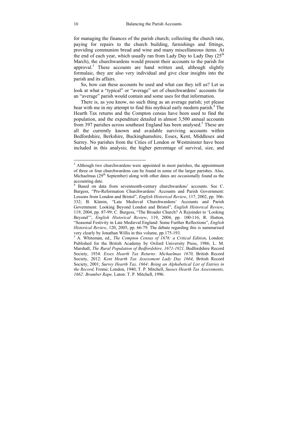for managing the finances of the parish church; collecting the church rate, paying for repairs to the church building, furnishings and fittings, providing communion bread and wine and many miscellaneous items. At the end of each year, which usually ran from Lady Day to Lady Day  $(25<sup>th</sup>$ March), the churchwardens would present their accounts to the parish for approval.<sup>3</sup> These accounts are hand written and, although slightly formulaic, they are also very individual and give clear insights into the parish and its affairs.

So, how can these accounts be used and what can they tell us? Let us look at what a "typical" or "average" set of churchwardens' accounts for an "average" parish would contain and some uses for that information.

There is, as you know, no such thing as an average parish; yet please bear with me in my attempt to find this mythical early modern parish.<sup>4</sup> The Hearth Tax returns and the Compton census have been used to find the population, and the expenditure detailed in almost 3,500 annual accounts from 397 parishes across southeast England has been analysed.<sup>5</sup> These are all the currently known and available surviving accounts within Bedfordshire, Berkshire, Buckinghamshire, Essex, Kent, Middlesex and Surrey. No parishes from the Cities of London or Westminster have been included in this analysis; the higher percentage of survival, size, and

<sup>&</sup>lt;sup>3</sup> Although two churchwardens were appointed in most parishes, the appointment of three or four churchwardens can be found in some of the larger parishes. Also, Michaelmas  $(29<sup>th</sup>$  September) along with other dates are occasionally found as the accounting date.

<sup>4</sup> Based on data from seventeenth-century churchwardens' accounts. See C. Burgess, "Pre-Reformation Churchwardens' Accounts and Parish Government: Lessons from London and Bristol", *English Historical Review*, 117, 2002, pp. 306- 332; B. Kümin, "Late Medieval Churchwardens' Accounts and Parish Government: Looking Beyond London and Bristol", *English Historical Review*, 119, 2004, pp. 87-99; C. Burgess, "The Broader Church? A Rejoinder to 'Looking Beyond'", *English Historical Review*, 119, 2004, pp. 100-116; R. Hutton, "Seasonal Festivity in Late Medieval England: Some Further Reflections", *English Historical Review*, 120, 2005, pp. 66-79. The debate regarding this is summarised very clearly by Jonathan Willis in this volume, pp.175-193.

<sup>5</sup> A. Whiteman, ed., *The Compton Census of 1676: a Critical Edition*, London: Published for the British Academy by Oxford University Press, 1986; L. M. Marshall, *The Rural Population of Bedfordshire, 1671-1921,* Bedfordshire Record Society, 1934: *Essex Hearth Tax Returns: Michaelmas 1670,* British Record Society, 2012: *Kent Hearth Tax Assessment Lady Day 1664*, British Record Society, 2001; *Surrey Hearth Tax, 1664: Being an Alphabetical List of Entries in the Record,* Frome; London, 1940; T. P. Mitchell, *Sussex Hearth Tax Assessments, 1662: Bramber Rape,* Luton: T. P. Mitchell, 1996.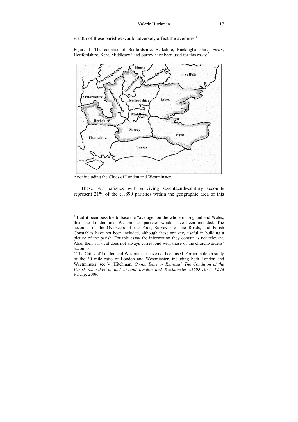wealth of these parishes would adversely affect the averages.<sup>6</sup>

Figure 1: The counties of Bedfordshire, Berkshire, Buckinghamshire, Essex, Hertfordshire, Kent, Middlesex\* and Surrey have been used for this essay<sup>7</sup>



\* not including the Cities of London and Westminster.

These 397 parishes with surviving seventeenth-century accounts represent 21% of the c.1890 parishes within the geographic area of this

 6 Had it been possible to base the "average" on the whole of England and Wales, then the London and Westminster parishes would have been included. The accounts of the Overseers of the Poor, Surveyor of the Roads, and Parish Constables have not been included, although these are very useful in building a picture of the parish. For this essay the information they contain is not relevant. Also, their survival does not always correspond with those of the churchwardens' accounts.

 $7$  The Cities of London and Westminster have not been used. For an in depth study of the 30 mile ratio of London and Westminster, including both London and Westminster, see V. Hitchman, *Omnia Bene or Ruinosa? The Condition of the Parish Churches in and around London and Westminster c1603-1677, VDM Verlag,* 2009.